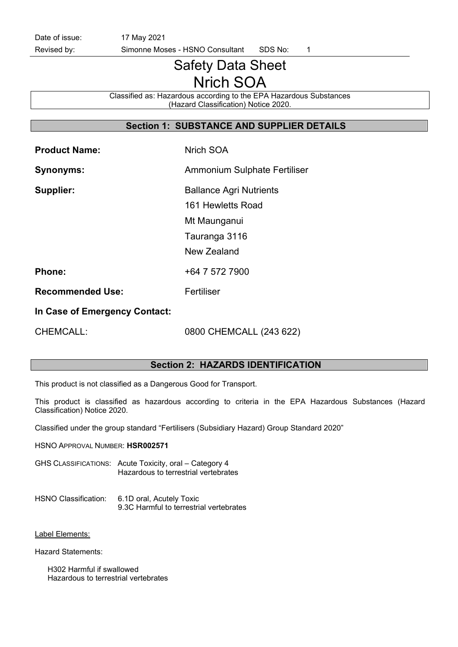Date of issue: 17 May 2021

Revised by: Simonne Moses - HSNO Consultant SDS No: 1

# Safety Data Sheet Nrich SOA

Classified as: Hazardous according to the EPA Hazardous Substances (Hazard Classification) Notice 2020.

# Section 1: SUBSTANCE AND SUPPLIER DETAILS

| <b>Product Name:</b>          | Nrich SOA                      |
|-------------------------------|--------------------------------|
| <b>Synonyms:</b>              | Ammonium Sulphate Fertiliser   |
| Supplier:                     | <b>Ballance Agri Nutrients</b> |
|                               | 161 Hewletts Road              |
|                               | Mt Maunganui                   |
|                               | Tauranga 3116                  |
|                               | New Zealand                    |
| <b>Phone:</b>                 | +64 7 572 7900                 |
| <b>Recommended Use:</b>       | Fertiliser                     |
| In Case of Emergency Contact: |                                |

CHEMCALL: 0800 CHEMCALL (243 622)

#### Section 2: HAZARDS IDENTIFICATION

This product is not classified as a Dangerous Good for Transport.

This product is classified as hazardous according to criteria in the EPA Hazardous Substances (Hazard Classification) Notice 2020.

Classified under the group standard "Fertilisers (Subsidiary Hazard) Group Standard 2020"

HSNO APPROVAL NUMBER: HSR002571

GHS CLASSIFICATIONS: Acute Toxicity, oral – Category 4 Hazardous to terrestrial vertebrates

#### HSNO Classification: 6.1D oral, Acutely Toxic 9.3C Harmful to terrestrial vertebrates

#### Label Elements:

Hazard Statements:

H302 Harmful if swallowed Hazardous to terrestrial vertebrates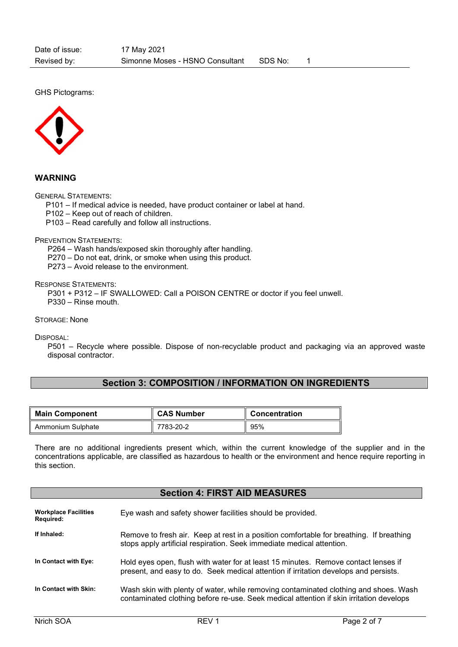GHS Pictograms:



WARNING

GENERAL STATEMENTS:

P101 – If medical advice is needed, have product container or label at hand.

P102 – Keep out of reach of children.

P103 – Read carefully and follow all instructions.

PREVENTION STATEMENTS:

P264 – Wash hands/exposed skin thoroughly after handling.

P270 – Do not eat, drink, or smoke when using this product.

P273 – Avoid release to the environment.

RESPONSE STATEMENTS:

P301 + P312 – IF SWALLOWED: Call a POISON CENTRE or doctor if you feel unwell.

P330 – Rinse mouth.

STORAGE: None

DISPOSAL:

P501 – Recycle where possible. Dispose of non-recyclable product and packaging via an approved waste disposal contractor.

# Section 3: COMPOSITION / INFORMATION ON INGREDIENTS

| <b>Main Component</b> | <b>CAS Number</b> | <b>Concentration</b> |
|-----------------------|-------------------|----------------------|
| Ammonium Sulphate     | 7783-20-2         | 95%                  |

There are no additional ingredients present which, within the current knowledge of the supplier and in the concentrations applicable, are classified as hazardous to health or the environment and hence require reporting in this section.

## Section 4: FIRST AID MEASURES

| <b>Workplace Facilities</b><br>Required: | Eye wash and safety shower facilities should be provided.                                                                                                                       |
|------------------------------------------|---------------------------------------------------------------------------------------------------------------------------------------------------------------------------------|
| If Inhaled:                              | Remove to fresh air. Keep at rest in a position comfortable for breathing. If breathing<br>stops apply artificial respiration. Seek immediate medical attention.                |
| In Contact with Eye:                     | Hold eyes open, flush with water for at least 15 minutes. Remove contact lenses if<br>present, and easy to do. Seek medical attention if irritation develops and persists.      |
| In Contact with Skin:                    | Wash skin with plenty of water, while removing contaminated clothing and shoes. Wash<br>contaminated clothing before re-use. Seek medical attention if skin irritation develops |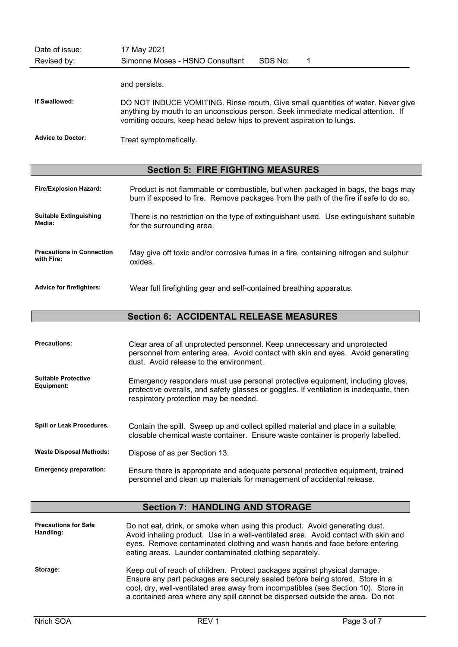| Date of issue:<br>Revised by:            | 17 May 2021<br>SDS No:<br>Simonne Moses - HSNO Consultant                                                                                                                                                                                    |
|------------------------------------------|----------------------------------------------------------------------------------------------------------------------------------------------------------------------------------------------------------------------------------------------|
|                                          | and persists.                                                                                                                                                                                                                                |
| If Swallowed:                            | DO NOT INDUCE VOMITING. Rinse mouth. Give small quantities of water. Never give<br>anything by mouth to an unconscious person. Seek immediate medical attention. If<br>vomiting occurs, keep head below hips to prevent aspiration to lungs. |
| <b>Advice to Doctor:</b>                 | Treat symptomatically.                                                                                                                                                                                                                       |
| <b>Section 5: FIRE FIGHTING MEASURES</b> |                                                                                                                                                                                                                                              |

| <b>Fire/Explosion Hazard:</b>    | Product is not flammable or combustible, but when packaged in bags, the bags may<br>burn if exposed to fire. Remove packages from the path of the fire if safe to do so. |
|----------------------------------|--------------------------------------------------------------------------------------------------------------------------------------------------------------------------|
| <b>Suitable Extinguishing</b>    | There is no restriction on the type of extinguishant used. Use extinguishant suitable                                                                                    |
| Media:                           | for the surrounding area.                                                                                                                                                |
| <b>Precautions in Connection</b> | May give off toxic and/or corrosive fumes in a fire, containing nitrogen and sulphur                                                                                     |
| with Fire:                       | oxides.                                                                                                                                                                  |
| <b>Advice for firefighters:</b>  | Wear full firefighting gear and self-contained breathing apparatus.                                                                                                      |

# Section 6: ACCIDENTAL RELEASE MEASURES

| <b>Precautions:</b>                      | Clear area of all unprotected personnel. Keep unnecessary and unprotected<br>personnel from entering area. Avoid contact with skin and eyes. Avoid generating<br>dust. Avoid release to the environment.          |
|------------------------------------------|-------------------------------------------------------------------------------------------------------------------------------------------------------------------------------------------------------------------|
| <b>Suitable Protective</b><br>Equipment: | Emergency responders must use personal protective equipment, including gloves,<br>protective overalls, and safety glasses or goggles. If ventilation is inadequate, then<br>respiratory protection may be needed. |
| Spill or Leak Procedures.                | Contain the spill. Sweep up and collect spilled material and place in a suitable,<br>closable chemical waste container. Ensure waste container is properly labelled.                                              |
| <b>Waste Disposal Methods:</b>           | Dispose of as per Section 13.                                                                                                                                                                                     |
| <b>Emergency preparation:</b>            | Ensure there is appropriate and adequate personal protective equipment, trained<br>personnel and clean up materials for management of accidental release.                                                         |

# Section 7: HANDLING AND STORAGE

| <b>Precautions for Safe</b><br>Handling: | Do not eat, drink, or smoke when using this product. Avoid generating dust.<br>Avoid inhaling product. Use in a well-ventilated area. Avoid contact with skin and<br>eyes. Remove contaminated clothing and wash hands and face before entering<br>eating areas. Launder contaminated clothing separately.                      |
|------------------------------------------|---------------------------------------------------------------------------------------------------------------------------------------------------------------------------------------------------------------------------------------------------------------------------------------------------------------------------------|
| Storage:                                 | Keep out of reach of children. Protect packages against physical damage.<br>Ensure any part packages are securely sealed before being stored. Store in a<br>cool, dry, well-ventilated area away from incompatibles (see Section 10). Store in<br>a contained area where any spill cannot be dispersed outside the area. Do not |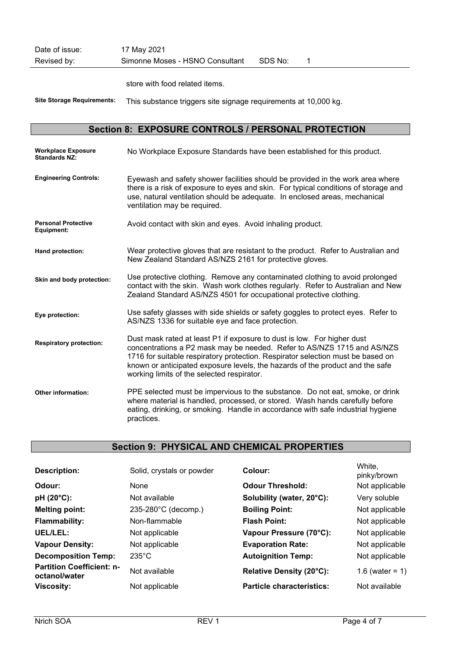| Date of issue: | 17 May 2021                     |         |  |
|----------------|---------------------------------|---------|--|
| Revised by:    | Simonne Moses - HSNO Consultant | SDS No: |  |

store with food related items.

Site Storage Requirements: This substance triggers site signage requirements at 10,000 kg.

# Section 8: EXPOSURE CONTROLS / PERSONAL PROTECTION

| <b>Workplace Exposure</b><br><b>Standards NZ:</b> | No Workplace Exposure Standards have been established for this product.                                                                                                                                                                                                                                                                                              |
|---------------------------------------------------|----------------------------------------------------------------------------------------------------------------------------------------------------------------------------------------------------------------------------------------------------------------------------------------------------------------------------------------------------------------------|
| <b>Engineering Controls:</b>                      | Eyewash and safety shower facilities should be provided in the work area where<br>there is a risk of exposure to eyes and skin. For typical conditions of storage and<br>use, natural ventilation should be adequate. In enclosed areas, mechanical<br>ventilation may be required.                                                                                  |
| <b>Personal Protective</b><br>Equipment:          | Avoid contact with skin and eyes. Avoid inhaling product.                                                                                                                                                                                                                                                                                                            |
| Hand protection:                                  | Wear protective gloves that are resistant to the product. Refer to Australian and<br>New Zealand Standard AS/NZS 2161 for protective gloves.                                                                                                                                                                                                                         |
| Skin and body protection:                         | Use protective clothing. Remove any contaminated clothing to avoid prolonged<br>contact with the skin. Wash work clothes regularly. Refer to Australian and New<br>Zealand Standard AS/NZS 4501 for occupational protective clothing.                                                                                                                                |
| Eye protection:                                   | Use safety glasses with side shields or safety goggles to protect eyes. Refer to<br>AS/NZS 1336 for suitable eye and face protection.                                                                                                                                                                                                                                |
| <b>Respiratory protection:</b>                    | Dust mask rated at least P1 if exposure to dust is low. For higher dust<br>concentrations a P2 mask may be needed. Refer to AS/NZS 1715 and AS/NZS<br>1716 for suitable respiratory protection. Respirator selection must be based on<br>known or anticipated exposure levels, the hazards of the product and the safe<br>working limits of the selected respirator. |
| <b>Other information:</b>                         | PPE selected must be impervious to the substance. Do not eat, smoke, or drink<br>where material is handled, processed, or stored. Wash hands carefully before<br>eating, drinking, or smoking. Handle in accordance with safe industrial hygiene<br>practices.                                                                                                       |

# Section 9: PHYSICAL AND CHEMICAL PROPERTIES

| <b>Description:</b>                               | Solid, crystals or powder | Colour:                          | White,<br>pinky/brown |
|---------------------------------------------------|---------------------------|----------------------------------|-----------------------|
| Odour:                                            | None                      | <b>Odour Threshold:</b>          | Not applicable        |
| $pH (20°C)$ :                                     | Not available             | Solubility (water, 20°C):        | Very soluble          |
| <b>Melting point:</b>                             | 235-280°C (decomp.)       | <b>Boiling Point:</b>            | Not applicable        |
| <b>Flammability:</b>                              | Non-flammable             | <b>Flash Point:</b>              | Not applicable        |
| UEL/LEL:                                          | Not applicable            | Vapour Pressure (70°C):          | Not applicable        |
| <b>Vapour Density:</b>                            | Not applicable            | <b>Evaporation Rate:</b>         | Not applicable        |
| <b>Decomposition Temp:</b>                        | $235^{\circ}$ C           | <b>Autoignition Temp:</b>        | Not applicable        |
| <b>Partition Coefficient: n-</b><br>octanol/water | Not available             | Relative Density (20°C):         | 1.6 (water = $1)$     |
| <b>Viscosity:</b>                                 | Not applicable            | <b>Particle characteristics:</b> | Not available         |
|                                                   |                           |                                  |                       |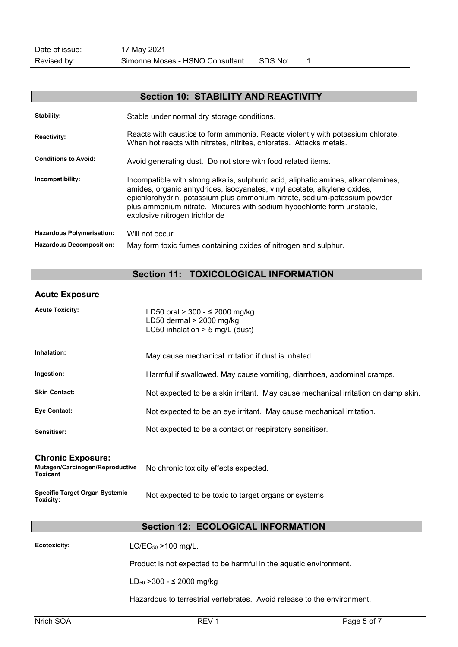| <b>Section 10: STABILITY AND REACTIVITY</b> |                                                                                                                                                                                                                                                                                                                                                          |  |
|---------------------------------------------|----------------------------------------------------------------------------------------------------------------------------------------------------------------------------------------------------------------------------------------------------------------------------------------------------------------------------------------------------------|--|
| Stability:                                  | Stable under normal dry storage conditions.                                                                                                                                                                                                                                                                                                              |  |
| <b>Reactivity:</b>                          | Reacts with caustics to form ammonia. Reacts violently with potassium chlorate.<br>When hot reacts with nitrates, nitrites, chlorates. Attacks metals.                                                                                                                                                                                                   |  |
| <b>Conditions to Avoid:</b>                 | Avoid generating dust. Do not store with food related items.                                                                                                                                                                                                                                                                                             |  |
| Incompatibility:                            | Incompatible with strong alkalis, sulphuric acid, aliphatic amines, alkanolamines,<br>amides, organic anhydrides, isocyanates, vinyl acetate, alkylene oxides,<br>epichlorohydrin, potassium plus ammonium nitrate, sodium-potassium powder<br>plus ammonium nitrate. Mixtures with sodium hypochlorite form unstable,<br>explosive nitrogen trichloride |  |
| <b>Hazardous Polymerisation:</b>            | Will not occur.                                                                                                                                                                                                                                                                                                                                          |  |
| <b>Hazardous Decomposition:</b>             | May form toxic fumes containing oxides of nitrogen and sulphur.                                                                                                                                                                                                                                                                                          |  |

# Section 11: TOXICOLOGICAL INFORMATION

## Acute Exposure

| <b>Ecotoxicity:</b>                                                            | $LC/EC_{50}$ > 100 mg/L.                                                                           |
|--------------------------------------------------------------------------------|----------------------------------------------------------------------------------------------------|
|                                                                                | <b>Section 12: ECOLOGICAL INFORMATION</b>                                                          |
| <b>Specific Target Organ Systemic</b><br>Toxicity:                             | Not expected to be toxic to target organs or systems.                                              |
| <b>Chronic Exposure:</b><br>Mutagen/Carcinogen/Reproductive<br><b>Toxicant</b> | No chronic toxicity effects expected.                                                              |
| Sensitiser:                                                                    | Not expected to be a contact or respiratory sensitiser.                                            |
| <b>Eye Contact:</b>                                                            | Not expected to be an eye irritant. May cause mechanical irritation.                               |
| <b>Skin Contact:</b>                                                           | Not expected to be a skin irritant. May cause mechanical irritation on damp skin.                  |
| Ingestion:                                                                     | Harmful if swallowed. May cause vomiting, diarrhoea, abdominal cramps.                             |
| Inhalation:                                                                    | May cause mechanical irritation if dust is inhaled.                                                |
| <b>Acute Toxicity:</b>                                                         | LD50 oral $> 300 - 5200$ mg/kg.<br>LD50 dermal $>$ 2000 mg/kg<br>LC50 inhalation $>$ 5 mg/L (dust) |

Product is not expected to be harmful in the aquatic environment.

LD50 >300 - ≤ 2000 mg/kg

Hazardous to terrestrial vertebrates. Avoid release to the environment.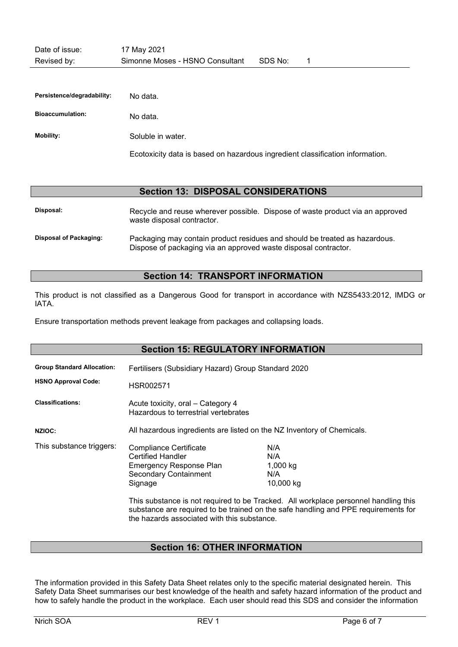| Persistence/degradability: | No data.                                                                      |
|----------------------------|-------------------------------------------------------------------------------|
| <b>Bioaccumulation:</b>    | No data.                                                                      |
| Mobility:                  | Soluble in water.                                                             |
|                            | Ecotoxicity data is based on hazardous ingredient classification information. |

#### Section 13: DISPOSAL CONSIDERATIONS

Disposal: Recycle and reuse wherever possible. Dispose of waste product via an approved waste disposal contractor. Disposal of Packaging: Packaging may contain product residues and should be treated as hazardous. Dispose of packaging via an approved waste disposal contractor.

## Section 14: TRANSPORT INFORMATION

This product is not classified as a Dangerous Good for transport in accordance with NZS5433:2012, IMDG or IATA.

Ensure transportation methods prevent leakage from packages and collapsing loads.

| <b>Section 15: REGULATORY INFORMATION</b>                       |                                                                                                                                                                                       |                                                                                                                                                                                                                         |  |  |  |
|-----------------------------------------------------------------|---------------------------------------------------------------------------------------------------------------------------------------------------------------------------------------|-------------------------------------------------------------------------------------------------------------------------------------------------------------------------------------------------------------------------|--|--|--|
| <b>Group Standard Allocation:</b><br><b>HSNO Approval Code:</b> | Fertilisers (Subsidiary Hazard) Group Standard 2020<br>HSR002571                                                                                                                      |                                                                                                                                                                                                                         |  |  |  |
| <b>Classifications:</b>                                         | Acute toxicity, oral – Category 4<br>Hazardous to terrestrial vertebrates                                                                                                             |                                                                                                                                                                                                                         |  |  |  |
| <b>NZIOC:</b>                                                   | All hazardous ingredients are listed on the NZ Inventory of Chemicals.                                                                                                                |                                                                                                                                                                                                                         |  |  |  |
| This substance triggers:                                        | <b>Compliance Certificate</b><br><b>Certified Handler</b><br><b>Emergency Response Plan</b><br><b>Secondary Containment</b><br>Signage<br>the hazards associated with this substance. | N/A<br>N/A<br>1,000 kg<br>N/A<br>10,000 kg<br>This substance is not required to be Tracked. All workplace personnel handling this<br>substance are required to be trained on the safe handling and PPE requirements for |  |  |  |

# Section 16: OTHER INFORMATION

The information provided in this Safety Data Sheet relates only to the specific material designated herein. This Safety Data Sheet summarises our best knowledge of the health and safety hazard information of the product and how to safely handle the product in the workplace. Each user should read this SDS and consider the information